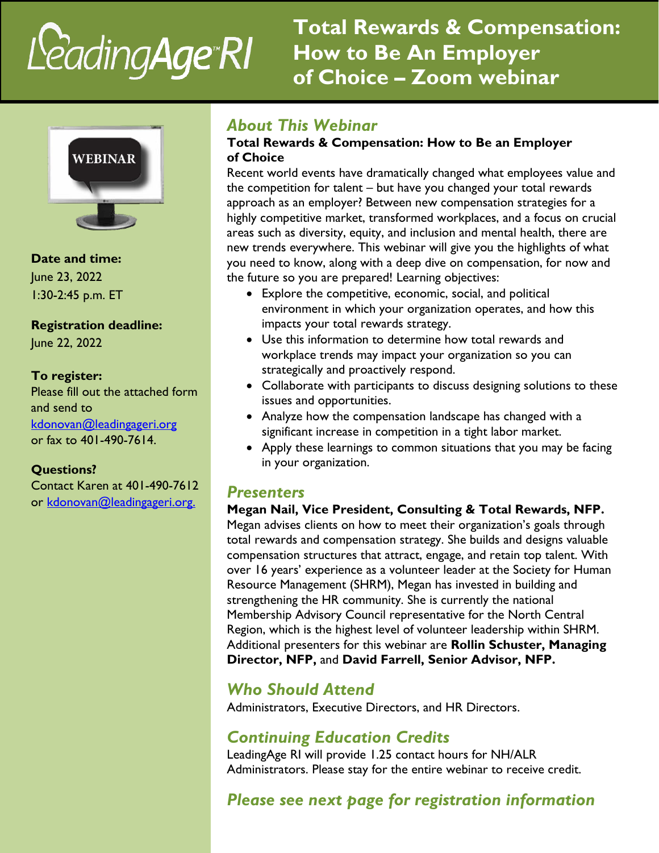# LeadingAge\*RI

**Total Rewards & Compensation: How to Be An Employer of Choice – Zoom webinar**



**Date and time:**  June 23, 2022 1:30-2:45 p.m. ET

**Registration deadline:**

June 22, 2022

#### **To register:**

Please fill out the attached form and send to [kdonovan@leadingageri.org](mailto:kdonovan@leadingageri.org) or fax to 401-490-7614.

#### **Questions?**

Contact Karen at 401-490-7612 or [kdonovan@leadingageri.org.](mailto:kdonovan@leadingageri.org.)

#### *About This Webinar*

#### **Total Rewards & Compensation: How to Be an Employer of Choice**

Recent world events have dramatically changed what employees value and the competition for talent – but have you changed your total rewards approach as an employer? Between new compensation strategies for a highly competitive market, transformed workplaces, and a focus on crucial areas such as diversity, equity, and inclusion and mental health, there are new trends everywhere. This webinar will give you the highlights of what you need to know, along with a deep dive on compensation, for now and the future so you are prepared! Learning objectives:

- Explore the competitive, economic, social, and political environment in which your organization operates, and how this impacts your total rewards strategy.
- Use this information to determine how total rewards and workplace trends may impact your organization so you can strategically and proactively respond.
- Collaborate with participants to discuss designing solutions to these issues and opportunities.
- Analyze how the compensation landscape has changed with a significant increase in competition in a tight labor market.
- Apply these learnings to common situations that you may be facing in your organization.

## *Presenters*

#### **Megan Nail, Vice President, Consulting & Total Rewards, NFP.**

Megan advises clients on how to meet their organization's goals through total rewards and compensation strategy. She builds and designs valuable compensation structures that attract, engage, and retain top talent. With over 16 years' experience as a volunteer leader at the Society for Human Resource Management (SHRM), Megan has invested in building and strengthening the HR community. She is currently the national Membership Advisory Council representative for the North Central Region, which is the highest level of volunteer leadership within SHRM. Additional presenters for this webinar are **Rollin Schuster, Managing Director, NFP,** and **David Farrell, Senior Advisor, NFP.**

# *Who Should Attend*

Administrators, Executive Directors, and HR Directors.

## *Continuing Education Credits*

LeadingAge RI will provide 1.25 contact hours for NH/ALR Administrators. Please stay for the entire webinar to receive credit.

# *Please see next page for registration information*